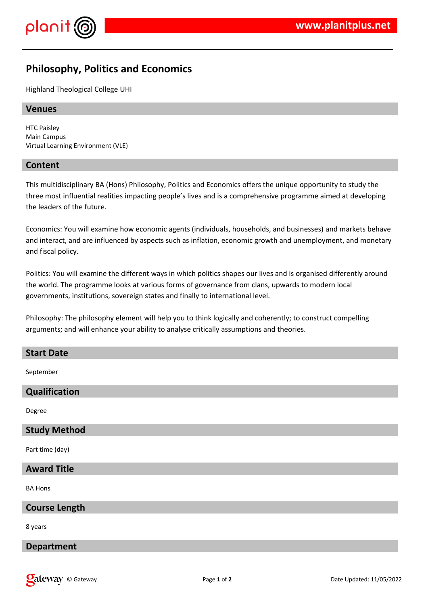

# **Philosophy, Politics and Economics**

Highland Theological College UHI

## **Venues**

HTC Paisley Main Campus Virtual Learning Environment (VLE)

## **Content**

This multidisciplinary BA (Hons) Philosophy, Politics and Economics offers the unique opportunity to study the three most influential realities impacting people's lives and is a comprehensive programme aimed at developing the leaders of the future.

Economics: You will examine how economic agents (individuals, households, and businesses) and markets behave and interact, and are influenced by aspects such as inflation, economic growth and unemployment, and monetary and fiscal policy.

Politics: You will examine the different ways in which politics shapes our lives and is organised differently around the world. The programme looks at various forms of governance from clans, upwards to modern local governments, institutions, sovereign states and finally to international level.

Philosophy: The philosophy element will help you to think logically and coherently; to construct compelling arguments; and will enhance your ability to analyse critically assumptions and theories.

| <b>Start Date</b>    |
|----------------------|
| September            |
| Qualification        |
| Degree               |
| <b>Study Method</b>  |
| Part time (day)      |
| <b>Award Title</b>   |
| <b>BA Hons</b>       |
| <b>Course Length</b> |
| 8 years              |
| <b>Department</b>    |
|                      |